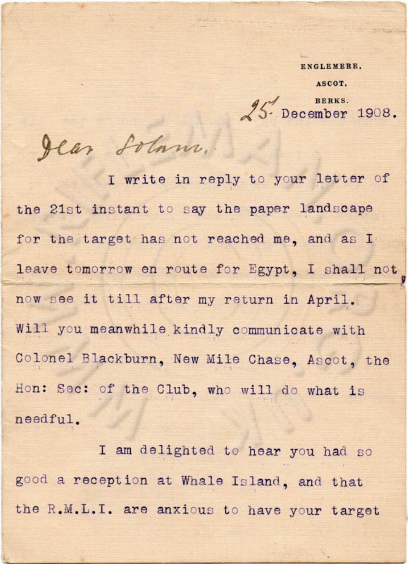**ENGLEMERE.** 

**ASCOT.** 

 $\overline{A}$   $\overline{A}$   $\overline{B}$  BERKS.  $\sqrt{5}$  December 1908.

Jean Solam.

•

I write in reply to your letter of the 21st instant to say the paper landscape for the target has not reached me, and as I leave tomorrow en route for Egypt, I shall not \_\_\_  $\mathbf{u}$ now see it till after my return in April. Will you meanwhile kindly communicate with Colonel Blackburn, New Mile Chase, Ascot, the Hon: Sec: of the Club, who will do what is ne <sup>e</sup>dful.

I am delighted to hear you had so good a reception at Whale Island, and that the R.M.L.I. are anxious to have your target